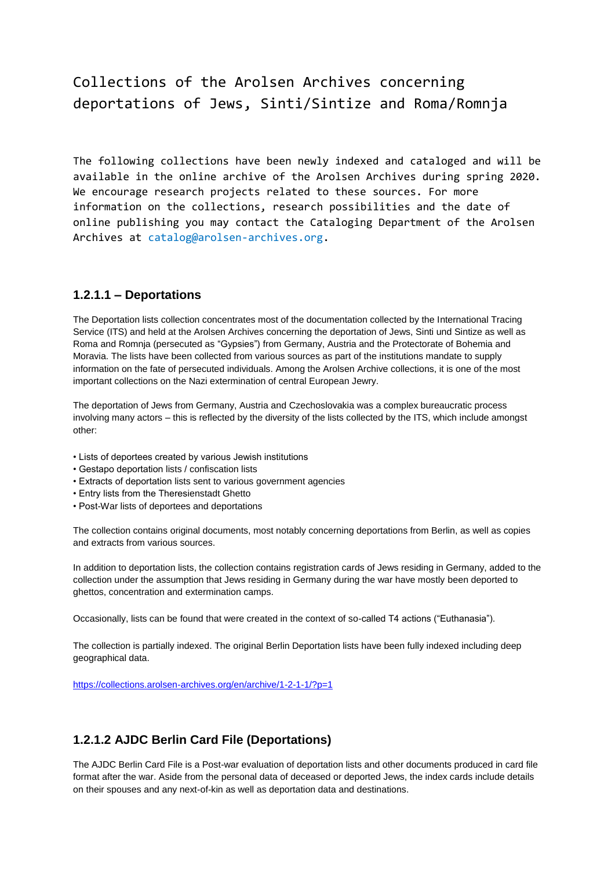# Collections of the Arolsen Archives concerning deportations of Jews, Sinti/Sintize and Roma/Romnja

The following collections have been newly indexed and cataloged and will be available in the online archive of the Arolsen Archives during spring 2020. We encourage research projects related to these sources. For more information on the collections, research possibilities and the date of online publishing you may contact the Cataloging Department of the Arolsen Archives at [catalog@arolsen-archives.org.](mailto:catalog@arolsen-archives.org)

## **1.2.1.1 – Deportations**

The Deportation lists collection concentrates most of the documentation collected by the International Tracing Service (ITS) and held at the Arolsen Archives concerning the deportation of Jews, Sinti und Sintize as well as Roma and Romnja (persecuted as "Gypsies") from Germany, Austria and the Protectorate of Bohemia and Moravia. The lists have been collected from various sources as part of the institutions mandate to supply information on the fate of persecuted individuals. Among the Arolsen Archive collections, it is one of the most important collections on the Nazi extermination of central European Jewry.

The deportation of Jews from Germany, Austria and Czechoslovakia was a complex bureaucratic process involving many actors – this is reflected by the diversity of the lists collected by the ITS, which include amongst other:

- Lists of deportees created by various Jewish institutions
- Gestapo deportation lists / confiscation lists
- Extracts of deportation lists sent to various government agencies
- Entry lists from the Theresienstadt Ghetto
- Post-War lists of deportees and deportations

The collection contains original documents, most notably concerning deportations from Berlin, as well as copies and extracts from various sources.

In addition to deportation lists, the collection contains registration cards of Jews residing in Germany, added to the collection under the assumption that Jews residing in Germany during the war have mostly been deported to ghettos, concentration and extermination camps.

Occasionally, lists can be found that were created in the context of so-called T4 actions ("Euthanasia").

The collection is partially indexed. The original Berlin Deportation lists have been fully indexed including deep geographical data.

<https://collections.arolsen-archives.org/en/archive/1-2-1-1/?p=1>

# **1.2.1.2 AJDC Berlin Card File (Deportations)**

The AJDC Berlin Card File is a Post-war evaluation of deportation lists and other documents produced in card file format after the war. Aside from the personal data of deceased or deported Jews, the index cards include details on their spouses and any next-of-kin as well as deportation data and destinations.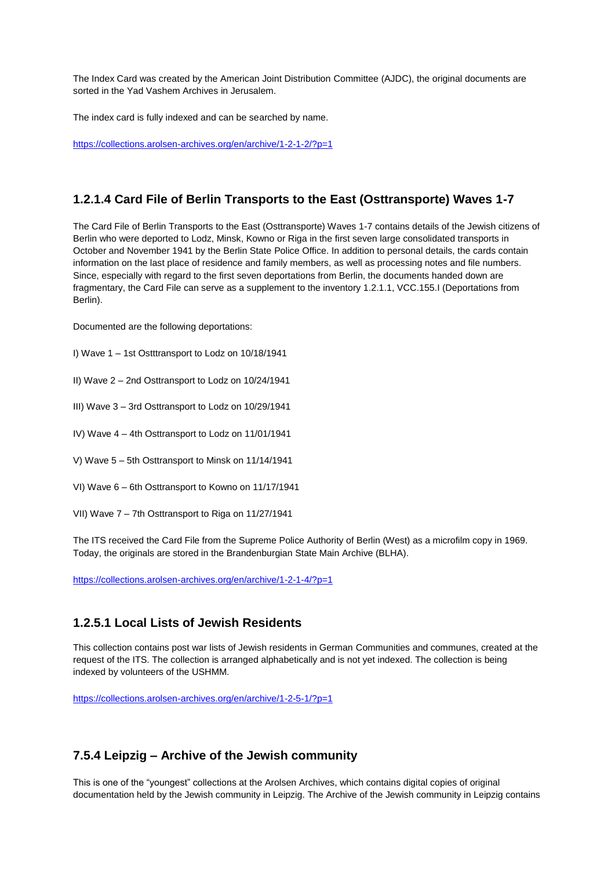The Index Card was created by the American Joint Distribution Committee (AJDC), the original documents are sorted in the Yad Vashem Archives in Jerusalem.

The index card is fully indexed and can be searched by name.

<https://collections.arolsen-archives.org/en/archive/1-2-1-2/?p=1>

# **1.2.1.4 Card File of Berlin Transports to the East (Osttransporte) Waves 1-7**

The Card File of Berlin Transports to the East (Osttransporte) Waves 1-7 contains details of the Jewish citizens of Berlin who were deported to Lodz, Minsk, Kowno or Riga in the first seven large consolidated transports in October and November 1941 by the Berlin State Police Office. In addition to personal details, the cards contain information on the last place of residence and family members, as well as processing notes and file numbers. Since, especially with regard to the first seven deportations from Berlin, the documents handed down are fragmentary, the Card File can serve as a supplement to the inventory 1.2.1.1, VCC.155.I (Deportations from Berlin).

Documented are the following deportations:

- I) Wave 1 1st Ostttransport to Lodz on 10/18/1941
- II) Wave 2 2nd Osttransport to Lodz on 10/24/1941
- III) Wave 3 3rd Osttransport to Lodz on 10/29/1941
- IV) Wave 4 4th Osttransport to Lodz on 11/01/1941
- V) Wave 5 5th Osttransport to Minsk on 11/14/1941
- VI) Wave 6 6th Osttransport to Kowno on 11/17/1941
- VII) Wave 7 7th Osttransport to Riga on 11/27/1941

The ITS received the Card File from the Supreme Police Authority of Berlin (West) as a microfilm copy in 1969. Today, the originals are stored in the Brandenburgian State Main Archive (BLHA).

<https://collections.arolsen-archives.org/en/archive/1-2-1-4/?p=1>

## **1.2.5.1 Local Lists of Jewish Residents**

This collection contains post war lists of Jewish residents in German Communities and communes, created at the request of the ITS. The collection is arranged alphabetically and is not yet indexed. The collection is being indexed by volunteers of the USHMM.

<https://collections.arolsen-archives.org/en/archive/1-2-5-1/?p=1>

## **7.5.4 Leipzig – Archive of the Jewish community**

This is one of the "youngest" collections at the Arolsen Archives, which contains digital copies of original documentation held by the Jewish community in Leipzig. The Archive of the Jewish community in Leipzig contains